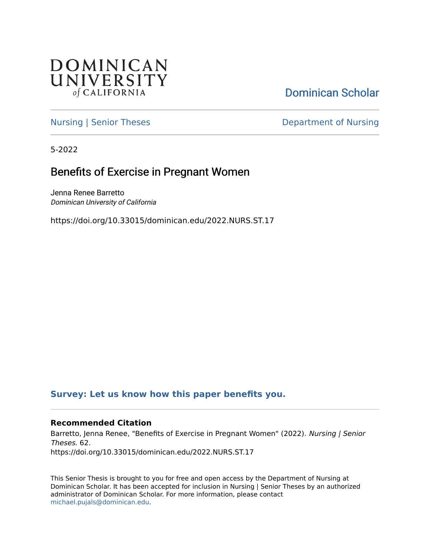

[Dominican Scholar](https://scholar.dominican.edu/) 

[Nursing | Senior Theses](https://scholar.dominican.edu/nursing-senior-theses) **Department of Nursing** 

5-2022

# Benefits of Exercise in Pregnant Women

Jenna Renee Barretto Dominican University of California

https://doi.org/10.33015/dominican.edu/2022.NURS.ST.17

## **[Survey: Let us know how this paper benefits you.](https://dominican.libwizard.com/dominican-scholar-feedback)**

## **Recommended Citation**

Barretto, Jenna Renee, "Benefits of Exercise in Pregnant Women" (2022). Nursing / Senior Theses. 62. https://doi.org/10.33015/dominican.edu/2022.NURS.ST.17

This Senior Thesis is brought to you for free and open access by the Department of Nursing at Dominican Scholar. It has been accepted for inclusion in Nursing | Senior Theses by an authorized administrator of Dominican Scholar. For more information, please contact [michael.pujals@dominican.edu.](mailto:michael.pujals@dominican.edu)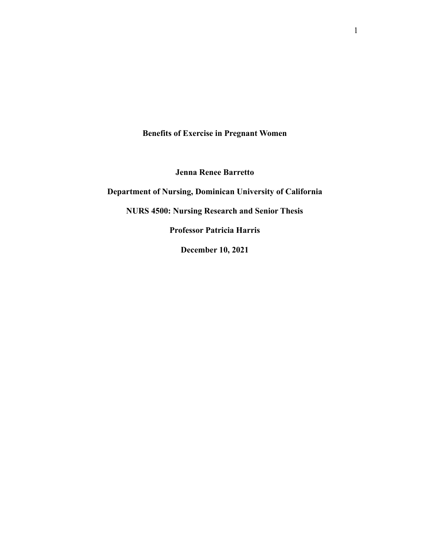**Benefits of Exercise in Pregnant Women**

**Jenna Renee Barretto**

**Department of Nursing, Dominican University of California**

**NURS 4500: Nursing Research and Senior Thesis**

**Professor Patricia Harris**

**December 10, 2021**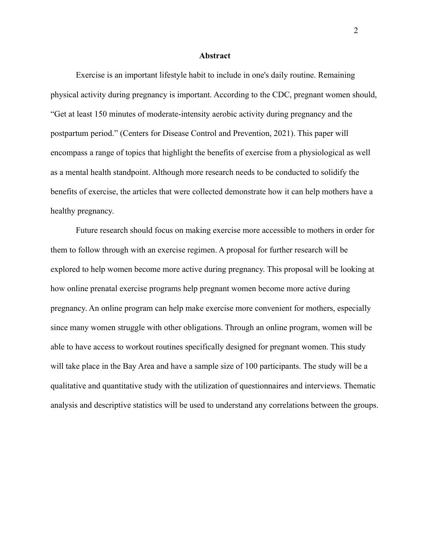#### **Abstract**

Exercise is an important lifestyle habit to include in one's daily routine. Remaining physical activity during pregnancy is important. According to the CDC, pregnant women should, "Get at least 150 minutes of moderate-intensity aerobic activity during pregnancy and the postpartum period." (Centers for Disease Control and Prevention, 2021). This paper will encompass a range of topics that highlight the benefits of exercise from a physiological as well as a mental health standpoint. Although more research needs to be conducted to solidify the benefits of exercise, the articles that were collected demonstrate how it can help mothers have a healthy pregnancy.

Future research should focus on making exercise more accessible to mothers in order for them to follow through with an exercise regimen. A proposal for further research will be explored to help women become more active during pregnancy. This proposal will be looking at how online prenatal exercise programs help pregnant women become more active during pregnancy. An online program can help make exercise more convenient for mothers, especially since many women struggle with other obligations. Through an online program, women will be able to have access to workout routines specifically designed for pregnant women. This study will take place in the Bay Area and have a sample size of 100 participants. The study will be a qualitative and quantitative study with the utilization of questionnaires and interviews. Thematic analysis and descriptive statistics will be used to understand any correlations between the groups.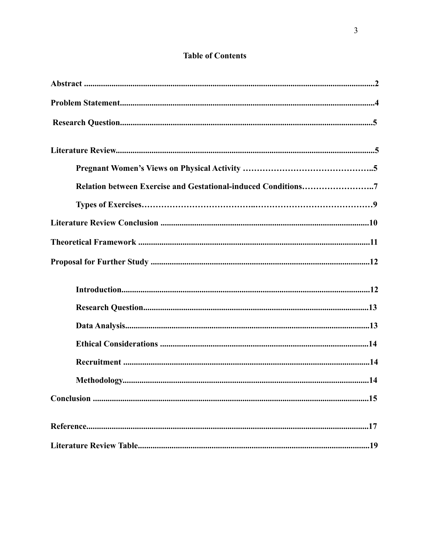## **Table of Contents**

| Relation between Exercise and Gestational-induced Conditions7 |  |
|---------------------------------------------------------------|--|
|                                                               |  |
|                                                               |  |
|                                                               |  |
|                                                               |  |
|                                                               |  |
|                                                               |  |
|                                                               |  |
|                                                               |  |
|                                                               |  |
|                                                               |  |
|                                                               |  |
|                                                               |  |
|                                                               |  |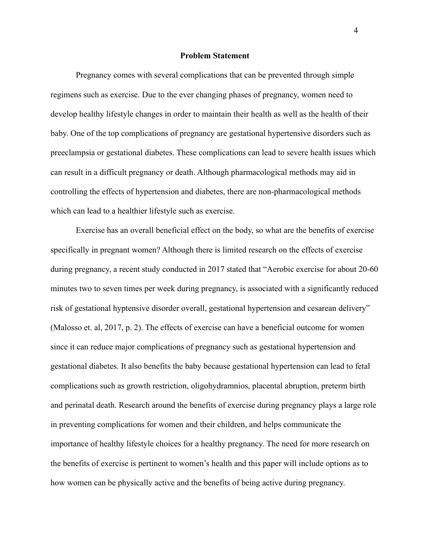#### **Problem Statement**

Pregnancy comes with several complications that can be prevented through simple regimens such as exercise. Due to the ever changing phases of pregnancy, women need to develop healthy lifestyle changes in order to maintain their health as well as the health of their baby. One of the top complications of pregnancy are gestational hypertensive disorders such as preeclampsia or gestational diabetes. These complications can lead to severe health issues which can result in a difficult pregnancy or death. Although pharmacological methods may aid in controlling the effects of hypertension and diabetes, there are non-pharmacological methods which can lead to a healthier lifestyle such as exercise.

Exercise has an overall beneficial effect on the body, so what are the benefits of exercise specifically in pregnant women? Although there is limited research on the effects of exercise during pregnancy, a recent study conducted in 2017 stated that "Aerobic exercise for about 20-60 minutes two to seven times per week during pregnancy, is associated with a significantly reduced risk of gestational hyptensive disorder overall, gestational hypertension and cesarean delivery" (Malosso et. al, 2017, p. 2). The effects of exercise can have a beneficial outcome for women since it can reduce major complications of pregnancy such as gestational hypertension and gestational diabetes. It also benefits the baby because gestational hypertension can lead to fetal complications such as growth restriction, oligohydramnios, placental abruption, preterm birth and perinatal death. Research around the benefits of exercise during pregnancy plays a large role in preventing complications for women and their children, and helps communicate the importance of healthy lifestyle choices for a healthy pregnancy. The need for more research on the benefits of exercise is pertinent to women's health and this paper will include options as to how women can be physically active and the benefits of being active during pregnancy.

4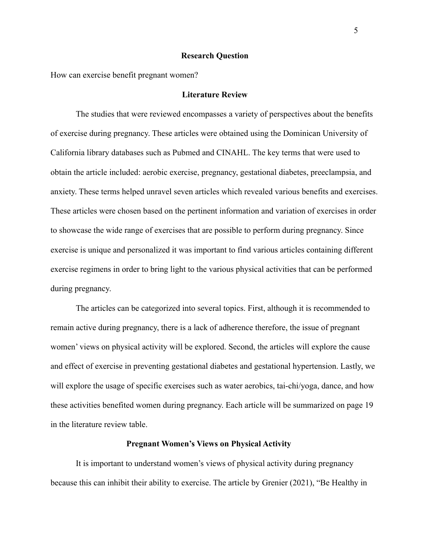#### **Research Question**

How can exercise benefit pregnant women?

### **Literature Review**

The studies that were reviewed encompasses a variety of perspectives about the benefits of exercise during pregnancy. These articles were obtained using the Dominican University of California library databases such as Pubmed and CINAHL. The key terms that were used to obtain the article included: aerobic exercise, pregnancy, gestational diabetes, preeclampsia, and anxiety. These terms helped unravel seven articles which revealed various benefits and exercises. These articles were chosen based on the pertinent information and variation of exercises in order to showcase the wide range of exercises that are possible to perform during pregnancy. Since exercise is unique and personalized it was important to find various articles containing different exercise regimens in order to bring light to the various physical activities that can be performed during pregnancy.

The articles can be categorized into several topics. First, although it is recommended to remain active during pregnancy, there is a lack of adherence therefore, the issue of pregnant women' views on physical activity will be explored. Second, the articles will explore the cause and effect of exercise in preventing gestational diabetes and gestational hypertension. Lastly, we will explore the usage of specific exercises such as water aerobics, tai-chi/yoga, dance, and how these activities benefited women during pregnancy. Each article will be summarized on page 19 in the literature review table.

#### **Pregnant Women's Views on Physical Activity**

It is important to understand women's views of physical activity during pregnancy because this can inhibit their ability to exercise. The article by Grenier (2021), "Be Healthy in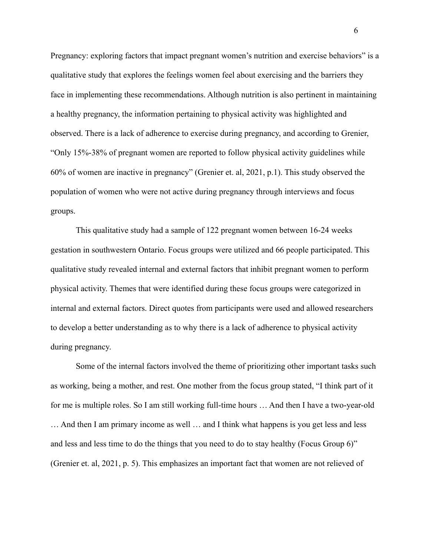Pregnancy: exploring factors that impact pregnant women's nutrition and exercise behaviors" is a qualitative study that explores the feelings women feel about exercising and the barriers they face in implementing these recommendations. Although nutrition is also pertinent in maintaining a healthy pregnancy, the information pertaining to physical activity was highlighted and observed. There is a lack of adherence to exercise during pregnancy, and according to Grenier, "Only 15%-38% of pregnant women are reported to follow physical activity guidelines while 60% of women are inactive in pregnancy" (Grenier et. al, 2021, p.1). This study observed the population of women who were not active during pregnancy through interviews and focus groups.

This qualitative study had a sample of 122 pregnant women between 16-24 weeks gestation in southwestern Ontario. Focus groups were utilized and 66 people participated. This qualitative study revealed internal and external factors that inhibit pregnant women to perform physical activity. Themes that were identified during these focus groups were categorized in internal and external factors. Direct quotes from participants were used and allowed researchers to develop a better understanding as to why there is a lack of adherence to physical activity during pregnancy.

Some of the internal factors involved the theme of prioritizing other important tasks such as working, being a mother, and rest. One mother from the focus group stated, "I think part of it for me is multiple roles. So I am still working full-time hours … And then I have a two-year-old … And then I am primary income as well … and I think what happens is you get less and less and less and less time to do the things that you need to do to stay healthy (Focus Group 6)" (Grenier et. al, 2021, p. 5). This emphasizes an important fact that women are not relieved of

6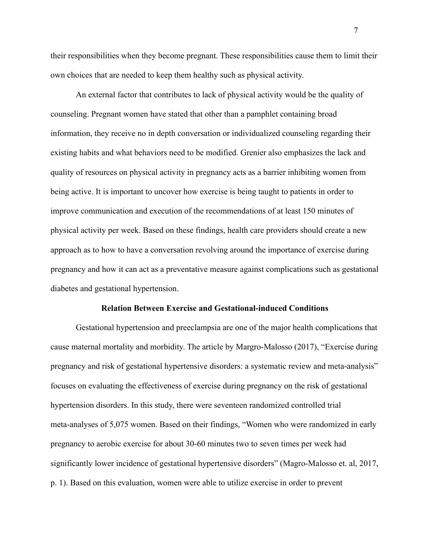their responsibilities when they become pregnant. These responsibilities cause them to limit their own choices that are needed to keep them healthy such as physical activity.

An external factor that contributes to lack of physical activity would be the quality of counseling. Pregnant women have stated that other than a pamphlet containing broad information, they receive no in depth conversation or individualized counseling regarding their existing habits and what behaviors need to be modified. Grenier also emphasizes the lack and quality of resources on physical activity in pregnancy acts as a barrier inhibiting women from being active. It is important to uncover how exercise is being taught to patients in order to improve communication and execution of the recommendations of at least 150 minutes of physical activity per week. Based on these findings, health care providers should create a new approach as to how to have a conversation revolving around the importance of exercise during pregnancy and how it can act as a preventative measure against complications such as gestational diabetes and gestational hypertension.

#### **Relation Between Exercise and Gestational-induced Conditions**

Gestational hypertension and preeclampsia are one of the major health complications that cause maternal mortality and morbidity. The article by Margro-Malosso (2017), "Exercise during pregnancy and risk of gestational hypertensive disorders: a systematic review and meta-analysis" focuses on evaluating the effectiveness of exercise during pregnancy on the risk of gestational hypertension disorders. In this study, there were seventeen randomized controlled trial meta-analyses of 5,075 women. Based on their findings, "Women who were randomized in early pregnancy to aerobic exercise for about 30-60 minutes two to seven times per week had significantly lower incidence of gestational hypertensive disorders" (Magro-Malosso et. al, 2017, p. 1). Based on this evaluation, women were able to utilize exercise in order to prevent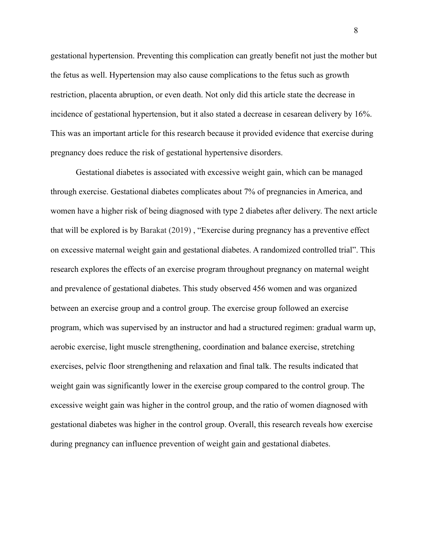gestational hypertension. Preventing this complication can greatly benefit not just the mother but the fetus as well. Hypertension may also cause complications to the fetus such as growth restriction, placenta abruption, or even death. Not only did this article state the decrease in incidence of gestational hypertension, but it also stated a decrease in cesarean delivery by 16%. This was an important article for this research because it provided evidence that exercise during pregnancy does reduce the risk of gestational hypertensive disorders.

Gestational diabetes is associated with excessive weight gain, which can be managed through exercise. Gestational diabetes complicates about 7% of pregnancies in America, and women have a higher risk of being diagnosed with type 2 diabetes after delivery. The next article that will be explored is by Barakat (2019) , "Exercise during pregnancy has a preventive effect on excessive maternal weight gain and gestational diabetes. A randomized controlled trial". This research explores the effects of an exercise program throughout pregnancy on maternal weight and prevalence of gestational diabetes. This study observed 456 women and was organized between an exercise group and a control group. The exercise group followed an exercise program, which was supervised by an instructor and had a structured regimen: gradual warm up, aerobic exercise, light muscle strengthening, coordination and balance exercise, stretching exercises, pelvic floor strengthening and relaxation and final talk. The results indicated that weight gain was significantly lower in the exercise group compared to the control group. The excessive weight gain was higher in the control group, and the ratio of women diagnosed with gestational diabetes was higher in the control group. Overall, this research reveals how exercise during pregnancy can influence prevention of weight gain and gestational diabetes.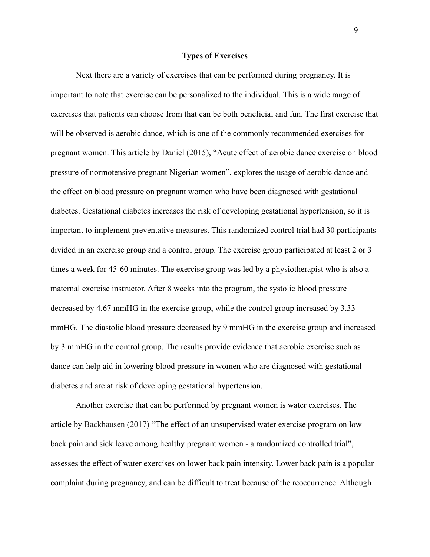#### **Types of Exercises**

Next there are a variety of exercises that can be performed during pregnancy. It is important to note that exercise can be personalized to the individual. This is a wide range of exercises that patients can choose from that can be both beneficial and fun. The first exercise that will be observed is aerobic dance, which is one of the commonly recommended exercises for pregnant women. This article by Daniel (2015), "Acute effect of aerobic dance exercise on blood pressure of normotensive pregnant Nigerian women", explores the usage of aerobic dance and the effect on blood pressure on pregnant women who have been diagnosed with gestational diabetes. Gestational diabetes increases the risk of developing gestational hypertension, so it is important to implement preventative measures. This randomized control trial had 30 participants divided in an exercise group and a control group. The exercise group participated at least 2 or 3 times a week for 45-60 minutes. The exercise group was led by a physiotherapist who is also a maternal exercise instructor. After 8 weeks into the program, the systolic blood pressure decreased by 4.67 mmHG in the exercise group, while the control group increased by 3.33 mmHG. The diastolic blood pressure decreased by 9 mmHG in the exercise group and increased by 3 mmHG in the control group. The results provide evidence that aerobic exercise such as dance can help aid in lowering blood pressure in women who are diagnosed with gestational diabetes and are at risk of developing gestational hypertension.

Another exercise that can be performed by pregnant women is water exercises. The article by Backhausen (2017) "The effect of an unsupervised water exercise program on low back pain and sick leave among healthy pregnant women - a randomized controlled trial", assesses the effect of water exercises on lower back pain intensity. Lower back pain is a popular complaint during pregnancy, and can be difficult to treat because of the reoccurrence. Although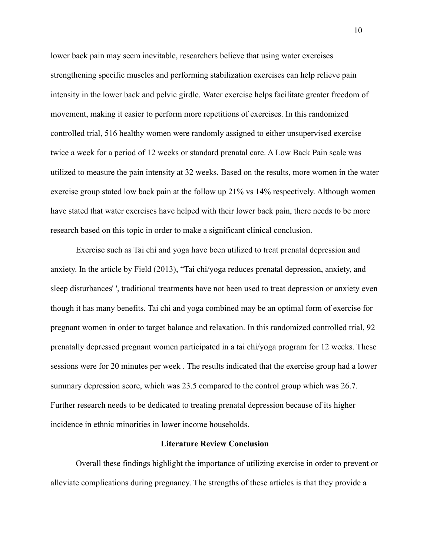lower back pain may seem inevitable, researchers believe that using water exercises strengthening specific muscles and performing stabilization exercises can help relieve pain intensity in the lower back and pelvic girdle. Water exercise helps facilitate greater freedom of movement, making it easier to perform more repetitions of exercises. In this randomized controlled trial, 516 healthy women were randomly assigned to either unsupervised exercise twice a week for a period of 12 weeks or standard prenatal care. A Low Back Pain scale was utilized to measure the pain intensity at 32 weeks. Based on the results, more women in the water exercise group stated low back pain at the follow up 21% vs 14% respectively. Although women have stated that water exercises have helped with their lower back pain, there needs to be more research based on this topic in order to make a significant clinical conclusion.

Exercise such as Tai chi and yoga have been utilized to treat prenatal depression and anxiety. In the article by Field (2013), "Tai chi/yoga reduces prenatal depression, anxiety, and sleep disturbances' ', traditional treatments have not been used to treat depression or anxiety even though it has many benefits. Tai chi and yoga combined may be an optimal form of exercise for pregnant women in order to target balance and relaxation. In this randomized controlled trial, 92 prenatally depressed pregnant women participated in a tai chi/yoga program for 12 weeks. These sessions were for 20 minutes per week . The results indicated that the exercise group had a lower summary depression score, which was 23.5 compared to the control group which was 26.7. Further research needs to be dedicated to treating prenatal depression because of its higher incidence in ethnic minorities in lower income households.

#### **Literature Review Conclusion**

Overall these findings highlight the importance of utilizing exercise in order to prevent or alleviate complications during pregnancy. The strengths of these articles is that they provide a

10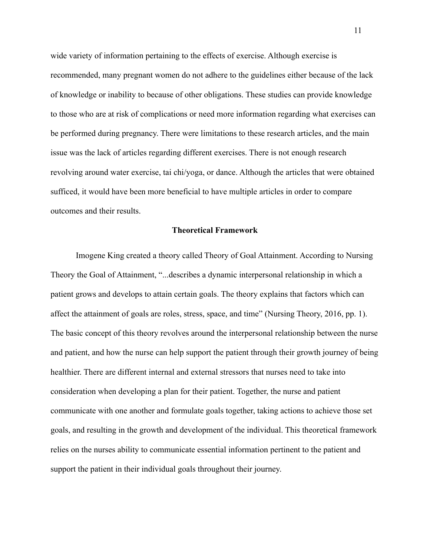wide variety of information pertaining to the effects of exercise. Although exercise is recommended, many pregnant women do not adhere to the guidelines either because of the lack of knowledge or inability to because of other obligations. These studies can provide knowledge to those who are at risk of complications or need more information regarding what exercises can be performed during pregnancy. There were limitations to these research articles, and the main issue was the lack of articles regarding different exercises. There is not enough research revolving around water exercise, tai chi/yoga, or dance. Although the articles that were obtained sufficed, it would have been more beneficial to have multiple articles in order to compare outcomes and their results.

#### **Theoretical Framework**

Imogene King created a theory called Theory of Goal Attainment. According to Nursing Theory the Goal of Attainment, "...describes a dynamic interpersonal relationship in which a patient grows and develops to attain certain goals. The theory explains that factors which can affect the attainment of goals are roles, stress, space, and time" (Nursing Theory, 2016, pp. 1). The basic concept of this theory revolves around the interpersonal relationship between the nurse and patient, and how the nurse can help support the patient through their growth journey of being healthier. There are different internal and external stressors that nurses need to take into consideration when developing a plan for their patient. Together, the nurse and patient communicate with one another and formulate goals together, taking actions to achieve those set goals, and resulting in the growth and development of the individual. This theoretical framework relies on the nurses ability to communicate essential information pertinent to the patient and support the patient in their individual goals throughout their journey.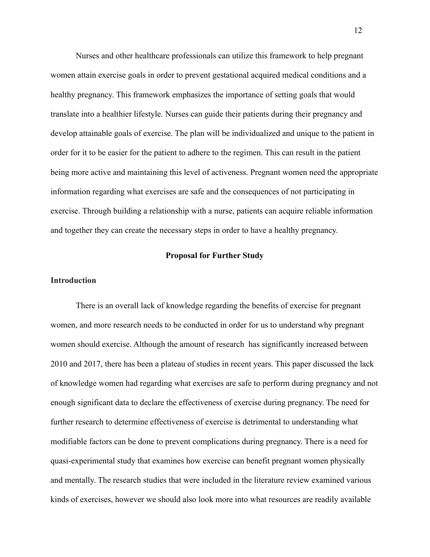Nurses and other healthcare professionals can utilize this framework to help pregnant women attain exercise goals in order to prevent gestational acquired medical conditions and a healthy pregnancy. This framework emphasizes the importance of setting goals that would translate into a healthier lifestyle. Nurses can guide their patients during their pregnancy and develop attainable goals of exercise. The plan will be individualized and unique to the patient in order for it to be easier for the patient to adhere to the regimen. This can result in the patient being more active and maintaining this level of activeness. Pregnant women need the appropriate information regarding what exercises are safe and the consequences of not participating in exercise. Through building a relationship with a nurse, patients can acquire reliable information and together they can create the necessary steps in order to have a healthy pregnancy.

#### **Proposal for Further Study**

#### **Introduction**

There is an overall lack of knowledge regarding the benefits of exercise for pregnant women, and more research needs to be conducted in order for us to understand why pregnant women should exercise. Although the amount of research has significantly increased between 2010 and 2017, there has been a plateau of studies in recent years. This paper discussed the lack of knowledge women had regarding what exercises are safe to perform during pregnancy and not enough significant data to declare the effectiveness of exercise during pregnancy. The need for further research to determine effectiveness of exercise is detrimental to understanding what modifiable factors can be done to prevent complications during pregnancy. There is a need for quasi-experimental study that examines how exercise can benefit pregnant women physically and mentally. The research studies that were included in the literature review examined various kinds of exercises, however we should also look more into what resources are readily available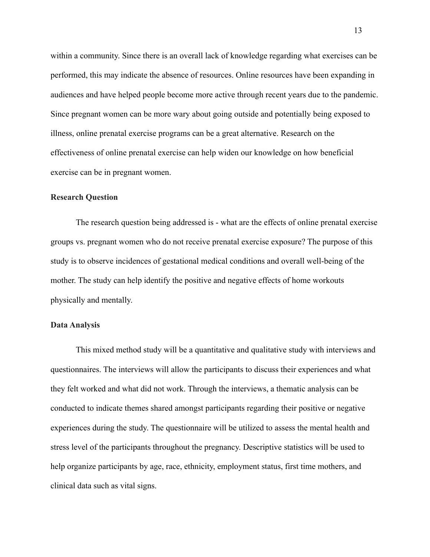within a community. Since there is an overall lack of knowledge regarding what exercises can be performed, this may indicate the absence of resources. Online resources have been expanding in audiences and have helped people become more active through recent years due to the pandemic. Since pregnant women can be more wary about going outside and potentially being exposed to illness, online prenatal exercise programs can be a great alternative. Research on the effectiveness of online prenatal exercise can help widen our knowledge on how beneficial exercise can be in pregnant women.

#### **Research Question**

The research question being addressed is - what are the effects of online prenatal exercise groups vs. pregnant women who do not receive prenatal exercise exposure? The purpose of this study is to observe incidences of gestational medical conditions and overall well-being of the mother. The study can help identify the positive and negative effects of home workouts physically and mentally.

## **Data Analysis**

This mixed method study will be a quantitative and qualitative study with interviews and questionnaires. The interviews will allow the participants to discuss their experiences and what they felt worked and what did not work. Through the interviews, a thematic analysis can be conducted to indicate themes shared amongst participants regarding their positive or negative experiences during the study. The questionnaire will be utilized to assess the mental health and stress level of the participants throughout the pregnancy. Descriptive statistics will be used to help organize participants by age, race, ethnicity, employment status, first time mothers, and clinical data such as vital signs.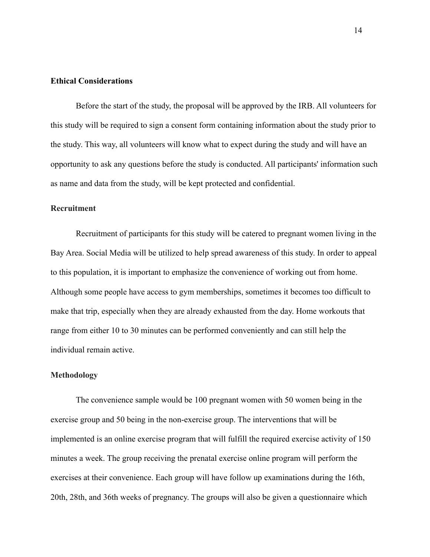#### **Ethical Considerations**

Before the start of the study, the proposal will be approved by the IRB. All volunteers for this study will be required to sign a consent form containing information about the study prior to the study. This way, all volunteers will know what to expect during the study and will have an opportunity to ask any questions before the study is conducted. All participants' information such as name and data from the study, will be kept protected and confidential.

## **Recruitment**

Recruitment of participants for this study will be catered to pregnant women living in the Bay Area. Social Media will be utilized to help spread awareness of this study. In order to appeal to this population, it is important to emphasize the convenience of working out from home. Although some people have access to gym memberships, sometimes it becomes too difficult to make that trip, especially when they are already exhausted from the day. Home workouts that range from either 10 to 30 minutes can be performed conveniently and can still help the individual remain active.

#### **Methodology**

The convenience sample would be 100 pregnant women with 50 women being in the exercise group and 50 being in the non-exercise group. The interventions that will be implemented is an online exercise program that will fulfill the required exercise activity of 150 minutes a week. The group receiving the prenatal exercise online program will perform the exercises at their convenience. Each group will have follow up examinations during the 16th, 20th, 28th, and 36th weeks of pregnancy. The groups will also be given a questionnaire which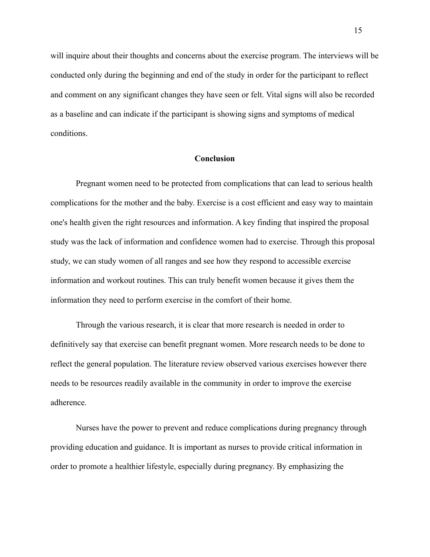will inquire about their thoughts and concerns about the exercise program. The interviews will be conducted only during the beginning and end of the study in order for the participant to reflect and comment on any significant changes they have seen or felt. Vital signs will also be recorded as a baseline and can indicate if the participant is showing signs and symptoms of medical conditions.

### **Conclusion**

Pregnant women need to be protected from complications that can lead to serious health complications for the mother and the baby. Exercise is a cost efficient and easy way to maintain one's health given the right resources and information. A key finding that inspired the proposal study was the lack of information and confidence women had to exercise. Through this proposal study, we can study women of all ranges and see how they respond to accessible exercise information and workout routines. This can truly benefit women because it gives them the information they need to perform exercise in the comfort of their home.

Through the various research, it is clear that more research is needed in order to definitively say that exercise can benefit pregnant women. More research needs to be done to reflect the general population. The literature review observed various exercises however there needs to be resources readily available in the community in order to improve the exercise adherence.

Nurses have the power to prevent and reduce complications during pregnancy through providing education and guidance. It is important as nurses to provide critical information in order to promote a healthier lifestyle, especially during pregnancy. By emphasizing the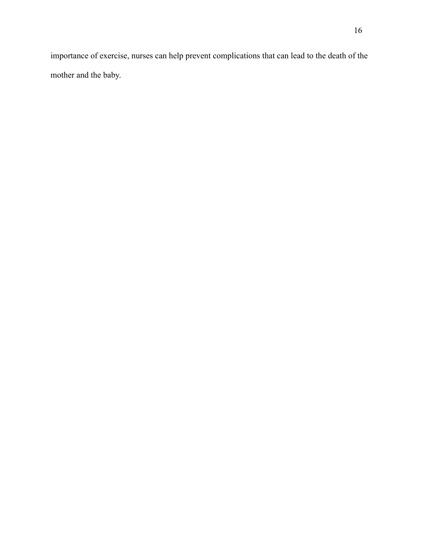importance of exercise, nurses can help prevent complications that can lead to the death of the mother and the baby.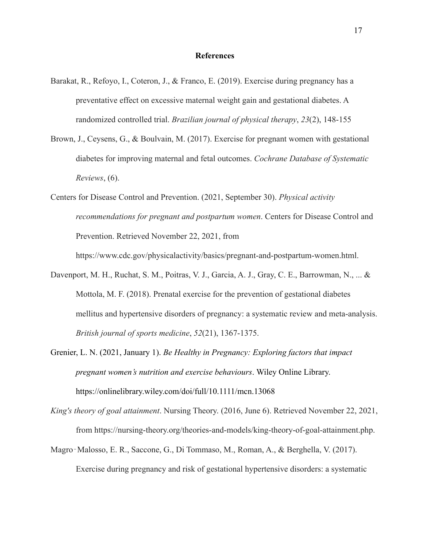#### **References**

- Barakat, R., Refoyo, I., Coteron, J., & Franco, E. (2019). Exercise during pregnancy has a preventative effect on excessive maternal weight gain and gestational diabetes. A randomized controlled trial. *Brazilian journal of physical therapy*, *23*(2), 148-155
- Brown, J., Ceysens, G., & Boulvain, M. (2017). Exercise for pregnant women with gestational diabetes for improving maternal and fetal outcomes. *Cochrane Database of Systematic Reviews*, (6).
- Centers for Disease Control and Prevention. (2021, September 30). *Physical activity recommendations for pregnant and postpartum women*. Centers for Disease Control and Prevention. Retrieved November 22, 2021, from

https://www.cdc.gov/physicalactivity/basics/pregnant-and-postpartum-women.html.

- Davenport, M. H., Ruchat, S. M., Poitras, V. J., Garcia, A. J., Gray, C. E., Barrowman, N., ... & Mottola, M. F. (2018). Prenatal exercise for the prevention of gestational diabetes mellitus and hypertensive disorders of pregnancy: a systematic review and meta-analysis. *British journal of sports medicine*, *52*(21), 1367-1375.
- Grenier, L. N. (2021, January 1). *Be Healthy in Pregnancy: Exploring factors that impact pregnant women's nutrition and exercise behaviours*. Wiley Online Library. https://onlinelibrary.wiley.com/doi/full/10.1111/mcn.13068
- *King's theory of goal attainment*. Nursing Theory. (2016, June 6). Retrieved November 22, 2021, from https://nursing-theory.org/theories-and-models/king-theory-of-goal-attainment.php.
- Magro‐Malosso, E. R., Saccone, G., Di Tommaso, M., Roman, A., & Berghella, V. (2017). Exercise during pregnancy and risk of gestational hypertensive disorders: a systematic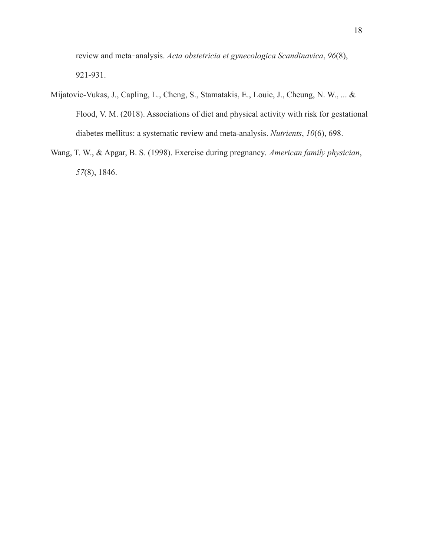review and meta‐analysis. *Acta obstetricia et gynecologica Scandinavica*, *96*(8), 921-931.

- Mijatovic-Vukas, J., Capling, L., Cheng, S., Stamatakis, E., Louie, J., Cheung, N. W., ... & Flood, V. M. (2018). Associations of diet and physical activity with risk for gestational diabetes mellitus: a systematic review and meta-analysis. *Nutrients*, *10*(6), 698.
- Wang, T. W., & Apgar, B. S. (1998). Exercise during pregnancy. *American family physician*, *57*(8), 1846.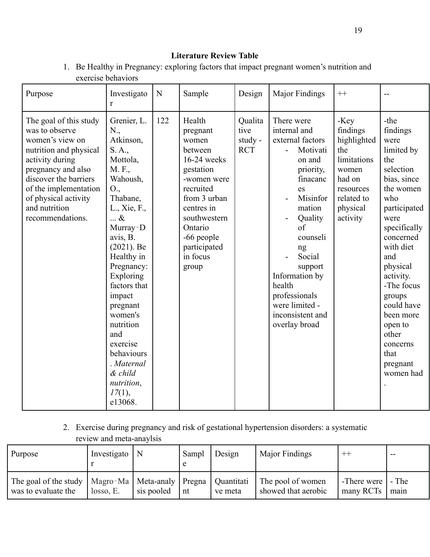# **Literature Review Table**

1. Be Healthy in Pregnancy: exploring factors that impact pregnant women's nutrition and exercise behaviors

| Purpose                                                                                                                                                                                                                                       | Investigato<br>r                                                                                                                                                                                                                                                                                                                                                         | N   | Sample                                                                                                                                                                                                     | Design                                   | Major Findings                                                                                                                                                                                                                                                                        | $++$                                                                                                                        |                                                                                                                                                                                                                                                                                                                     |
|-----------------------------------------------------------------------------------------------------------------------------------------------------------------------------------------------------------------------------------------------|--------------------------------------------------------------------------------------------------------------------------------------------------------------------------------------------------------------------------------------------------------------------------------------------------------------------------------------------------------------------------|-----|------------------------------------------------------------------------------------------------------------------------------------------------------------------------------------------------------------|------------------------------------------|---------------------------------------------------------------------------------------------------------------------------------------------------------------------------------------------------------------------------------------------------------------------------------------|-----------------------------------------------------------------------------------------------------------------------------|---------------------------------------------------------------------------------------------------------------------------------------------------------------------------------------------------------------------------------------------------------------------------------------------------------------------|
| The goal of this study<br>was to observe<br>women's view on<br>nutrition and physical<br>activity during<br>pregnancy and also<br>discover the barriers<br>of the implementation<br>of physical activity<br>and nutrition<br>recommendations. | Grenier, L.<br>N.,<br>Atkinson,<br>S. A.,<br>Mottola,<br>M. F.,<br>Wahoush,<br>O.,<br>Thabane,<br>L., Xie, F.,<br>$\ldots \&$<br>Murray-D<br>avis, B.<br>$(2021)$ . Be<br>Healthy in<br>Pregnancy:<br>Exploring<br>factors that<br>impact<br>pregnant<br>women's<br>nutrition<br>and<br>exercise<br>behaviours<br>Maternal<br>& child<br>nutrition,<br>17(1),<br>e13068. | 122 | Health<br>pregnant<br>women<br>between<br>16-24 weeks<br>gestation<br>-women were<br>recruited<br>from 3 urban<br>centres in<br>southwestern<br>Ontario<br>-66 people<br>participated<br>in focus<br>group | Qualita<br>tive<br>study -<br><b>RCT</b> | There were<br>internal and<br>external factors<br>Motivati<br>on and<br>priority,<br>finacanc<br>es<br>Misinfor<br>mation<br>Quality<br>of<br>counseli<br>ng<br>Social<br>support<br>Information by<br>health<br>professionals<br>were limited -<br>inconsistent and<br>overlay broad | -Key<br>findings<br>highlighted<br>the<br>limitations<br>women<br>had on<br>resources<br>related to<br>physical<br>activity | -the<br>findings<br>were<br>limited by<br>the<br>selection<br>bias, since<br>the women<br>who<br>participated<br>were<br>specifically<br>concerned<br>with diet<br>and<br>physical<br>activity.<br>-The focus<br>groups<br>could have<br>been more<br>open to<br>other<br>concerns<br>that<br>pregnant<br>women had |

2. Exercise during pregnancy and risk of gestational hypertension disorders: a systematic review and meta-anaylsis

| Purpose                                                                                    | Investigato | N          | Sampl | Design  | Major Findings                           | $^{++}$                  | --              |
|--------------------------------------------------------------------------------------------|-------------|------------|-------|---------|------------------------------------------|--------------------------|-----------------|
| The goal of the study   Magro-Ma   Meta-analy   Pregna   Quantitati<br>was to evaluate the | losso, E.   | sis pooled | nt    | ve meta | The pool of women<br>showed that aerobic | -There were<br>many RCTs | $-$ The<br>main |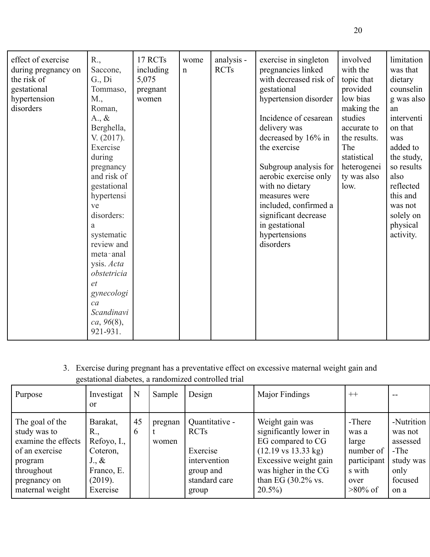| effect of exercise<br>during pregnancy on<br>the risk of<br>gestational<br>hypertension<br>disorders | R.,<br>Saccone,<br>$G_{\cdot}$ , Di<br>Tommaso,<br>M.,<br>Roman,<br>$A_{\cdot}, \&$<br>Berghella,<br>V. (2017).<br>Exercise<br>during<br>pregnancy<br>and risk of<br>gestational | 17 RCTs<br>including<br>5,075<br>pregnant<br>women | wome<br>$\mathbf n$ | analysis -<br><b>RCTs</b> | exercise in singleton<br>pregnancies linked<br>with decreased risk of<br>gestational<br>hypertension disorder<br>Incidence of cesarean<br>delivery was<br>decreased by 16% in<br>the exercise<br>Subgroup analysis for<br>aerobic exercise only<br>with no dietary | involved<br>with the<br>topic that<br>provided<br>low bias<br>making the<br>studies<br>accurate to<br>the results.<br>The<br>statistical<br>heterogenei<br>ty was also<br>low. | limitation<br>was that<br>dietary<br>counselin<br>g was also<br>an<br>interventi<br>on that<br>was<br>added to<br>the study,<br>so results<br>also<br>reflected |
|------------------------------------------------------------------------------------------------------|----------------------------------------------------------------------------------------------------------------------------------------------------------------------------------|----------------------------------------------------|---------------------|---------------------------|--------------------------------------------------------------------------------------------------------------------------------------------------------------------------------------------------------------------------------------------------------------------|--------------------------------------------------------------------------------------------------------------------------------------------------------------------------------|-----------------------------------------------------------------------------------------------------------------------------------------------------------------|
|                                                                                                      | hypertensi<br>ve<br>disorders:<br>a<br>systematic<br>review and<br>meta-anal<br>ysis. Acta<br>obstetricia<br>et<br>gynecologi<br>ca<br>Scandinavi<br>ca, 96(8),<br>921-931.      |                                                    |                     |                           | measures were<br>included, confirmed a<br>significant decrease<br>in gestational<br>hypertensions<br>disorders                                                                                                                                                     |                                                                                                                                                                                | this and<br>was not<br>solely on<br>physical<br>activity.                                                                                                       |

3. Exercise during pregnant has a preventative effect on excessive maternal weight gain and gestational diabetes, a randomized controlled trial

| Purpose                                                                                                                              | Investigat<br>$\alpha$                                                                                   | N       | Sample           | Design                                                                                           | Major Findings                                                                                                                                                                                          | $++$                                                                                 |                                                                                     |
|--------------------------------------------------------------------------------------------------------------------------------------|----------------------------------------------------------------------------------------------------------|---------|------------------|--------------------------------------------------------------------------------------------------|---------------------------------------------------------------------------------------------------------------------------------------------------------------------------------------------------------|--------------------------------------------------------------------------------------|-------------------------------------------------------------------------------------|
| The goal of the<br>study was to<br>examine the effects<br>of an exercise<br>program<br>throughout<br>pregnancy on<br>maternal weight | Barakat,<br>$R_{\cdot}$<br>Refoyo, I.,<br>Coteron,<br>$J_{\cdot}$ &<br>Franco, E.<br>(2019).<br>Exercise | 45<br>6 | pregnan<br>women | Quantitative -<br><b>RCTs</b><br>Exercise<br>intervention<br>group and<br>standard care<br>group | Weight gain was<br>significantly lower in<br>EG compared to CG<br>$(12.19 \text{ vs } 13.33 \text{ kg})$<br>Excessive weight gain<br>was higher in the CG<br>than EG $(30.2\% \text{ vs.})$<br>$20.5\%$ | -There<br>was a<br>large<br>number of<br>participant<br>s with<br>over<br>$>80\%$ of | -Nutrition<br>was not<br>assessed<br>$-The$<br>study was<br>only<br>focused<br>on a |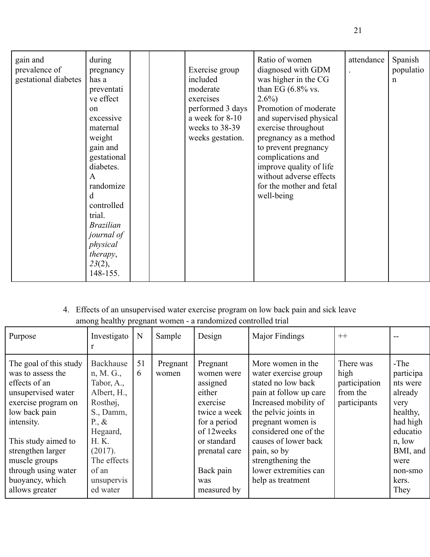| gain and<br>prevalence of<br>gestational diabetes | during<br>pregnancy<br>has a<br>preventati<br>ve effect<br>$^{on}$<br>excessive<br>maternal<br>weight<br>gain and<br>gestational<br>diabetes.<br>$\mathbf{A}$<br>randomize<br>d<br>controlled<br>trial.<br><b>Brazilian</b><br>journal of<br>physical<br>therapy,<br>23(2),<br>148-155. |  |  | Exercise group<br>included<br>moderate<br>exercises<br>performed 3 days<br>a week for 8-10<br>weeks to 38-39<br>weeks gestation. | Ratio of women<br>diagnosed with GDM<br>was higher in the CG<br>than EG $(6.8\%$ vs.<br>$2.6\%$<br>Promotion of moderate<br>and supervised physical<br>exercise throughout<br>pregnancy as a method<br>to prevent pregnancy<br>complications and<br>improve quality of life<br>without adverse effects<br>for the mother and fetal<br>well-being | attendance | Spanish<br>populatio<br>$\mathbf n$ |
|---------------------------------------------------|-----------------------------------------------------------------------------------------------------------------------------------------------------------------------------------------------------------------------------------------------------------------------------------------|--|--|----------------------------------------------------------------------------------------------------------------------------------|--------------------------------------------------------------------------------------------------------------------------------------------------------------------------------------------------------------------------------------------------------------------------------------------------------------------------------------------------|------------|-------------------------------------|
|---------------------------------------------------|-----------------------------------------------------------------------------------------------------------------------------------------------------------------------------------------------------------------------------------------------------------------------------------------|--|--|----------------------------------------------------------------------------------------------------------------------------------|--------------------------------------------------------------------------------------------------------------------------------------------------------------------------------------------------------------------------------------------------------------------------------------------------------------------------------------------------|------------|-------------------------------------|

# 4. Effects of an unsupervised water exercise program on low back pain and sick leave among healthy pregnant women - a randomized controlled trial

| Purpose                                                                                                                                                                                                                                                           | Investigato                                                                                                                                                                   | N       | Sample            | Design                                                                                                                                                                     | Major Findings                                                                                                                                                                                                                                                                                     | $++$                                                           |                                                                                                                                                |
|-------------------------------------------------------------------------------------------------------------------------------------------------------------------------------------------------------------------------------------------------------------------|-------------------------------------------------------------------------------------------------------------------------------------------------------------------------------|---------|-------------------|----------------------------------------------------------------------------------------------------------------------------------------------------------------------------|----------------------------------------------------------------------------------------------------------------------------------------------------------------------------------------------------------------------------------------------------------------------------------------------------|----------------------------------------------------------------|------------------------------------------------------------------------------------------------------------------------------------------------|
| The goal of this study<br>was to assess the<br>effects of an<br>unsupervised water<br>exercise program on<br>low back pain<br>intensity.<br>This study aimed to<br>strengthen larger<br>muscle groups<br>through using water<br>buoyancy, which<br>allows greater | Backhause<br>n, M. G.,<br>Tabor, A.,<br>Albert, H.,<br>Rosthøj,<br>S., Damm,<br>P., $\&$<br>Hegaard,<br>$H$ . K.<br>(2017).<br>The effects<br>of an<br>unsupervis<br>ed water | 51<br>6 | Pregnant<br>women | Pregnant<br>women were<br>assigned<br>either<br>exercise<br>twice a week<br>for a period<br>of 12 weeks<br>or standard<br>prenatal care<br>Back pain<br>was<br>measured by | More women in the<br>water exercise group<br>stated no low back<br>pain at follow up care<br>Increased mobility of<br>the pelvic joints in<br>pregnant women is<br>considered one of the<br>causes of lower back<br>pain, so by<br>strengthening the<br>lower extremities can<br>help as treatment | There was<br>high<br>participation<br>from the<br>participants | -The<br>participa<br>nts were<br>already<br>very<br>healthy,<br>had high<br>educatio<br>n, low<br>BMI, and<br>were<br>non-smo<br>kers.<br>They |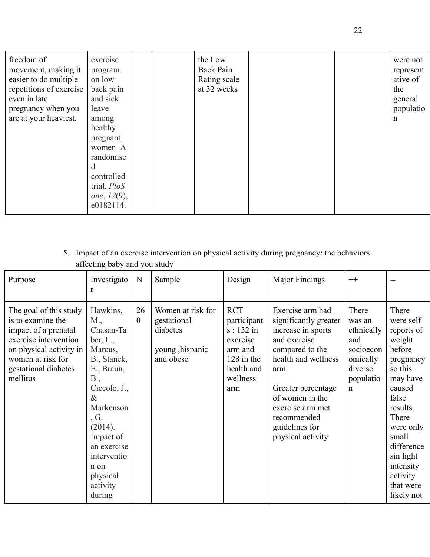| pregnant<br>women-A<br>randomise<br>d<br>controlled<br>trial. PloS<br>one, $12(9)$ ,<br>e0182114. | freedom of<br>movement, making it<br>easier to do multiple<br>repetitions of exercise<br>even in late<br>pregnancy when you<br>are at your heaviest. | exercise<br>program<br>on low<br>back pain<br>and sick<br>leave<br>among<br>healthy |  | the Low<br>Back Pain<br>Rating scale<br>at 32 weeks |  |  | were not<br>represent<br>ative of<br>the<br>general<br>populatio<br>n |
|---------------------------------------------------------------------------------------------------|------------------------------------------------------------------------------------------------------------------------------------------------------|-------------------------------------------------------------------------------------|--|-----------------------------------------------------|--|--|-----------------------------------------------------------------------|
|---------------------------------------------------------------------------------------------------|------------------------------------------------------------------------------------------------------------------------------------------------------|-------------------------------------------------------------------------------------|--|-----------------------------------------------------|--|--|-----------------------------------------------------------------------|

# 5. Impact of an exercise intervention on physical activity during pregnancy: the behaviors affecting baby and you study

| Purpose                                                                                                                                                                          | Investigato<br>r                                                                                                                                                                                                                               | N                    | Sample                                                                        | Design                                                                                                           | Major Findings                                                                                                                                                                                                                                      | $++$                                                                                                 |                                                                                                                                                                                                                                       |
|----------------------------------------------------------------------------------------------------------------------------------------------------------------------------------|------------------------------------------------------------------------------------------------------------------------------------------------------------------------------------------------------------------------------------------------|----------------------|-------------------------------------------------------------------------------|------------------------------------------------------------------------------------------------------------------|-----------------------------------------------------------------------------------------------------------------------------------------------------------------------------------------------------------------------------------------------------|------------------------------------------------------------------------------------------------------|---------------------------------------------------------------------------------------------------------------------------------------------------------------------------------------------------------------------------------------|
| The goal of this study<br>is to examine the<br>impact of a prenatal<br>exercise intervention<br>on physical activity in<br>women at risk for<br>gestational diabetes<br>mellitus | Hawkins,<br>M.,<br>Chasan-Ta<br>ber, $L_{\cdot}$ ,<br>Marcus,<br>B., Stanek,<br>E., Braun,<br>B.,<br>Ciccolo, J.,<br>$\&$<br>Markenson<br>, G.<br>(2014).<br>Impact of<br>an exercise<br>interventio<br>n on<br>physical<br>activity<br>during | 26<br>$\overline{0}$ | Women at risk for<br>gestational<br>diabetes<br>young , hispanic<br>and obese | <b>RCT</b><br>participant<br>$s: 132$ in<br>exercise<br>arm and<br>$128$ in the<br>health and<br>wellness<br>arm | Exercise arm had<br>significantly greater<br>increase in sports<br>and exercise<br>compared to the<br>health and wellness<br>arm<br>Greater percentage<br>of women in the<br>exercise arm met<br>recommended<br>guidelines for<br>physical activity | There<br>was an<br>ethnically<br>and<br>socioecon<br>omically<br>diverse<br>populatio<br>$\mathbf n$ | There<br>were self<br>reports of<br>weight<br>before<br>pregnancy<br>so this<br>may have<br>caused<br>false<br>results.<br>There<br>were only<br>small<br>difference<br>sin light<br>intensity<br>activity<br>that were<br>likely not |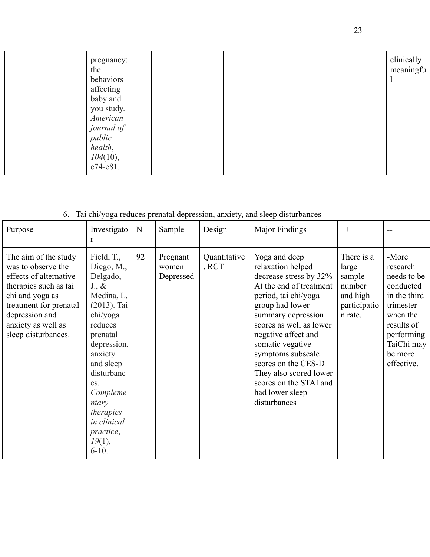| pregnancy:<br>the<br>behaviors<br>affecting<br>baby and<br>you study.<br>American<br>journal of<br>public<br>health, |  |  | clinically<br>meaningfu |
|----------------------------------------------------------------------------------------------------------------------|--|--|-------------------------|
| 104(10),<br>e74-e81.                                                                                                 |  |  |                         |

# 6. Tai chi/yoga reduces prenatal depression, anxiety, and sleep disturbances

| Purpose                                                                                                                                                                                                   | Investigato<br>r                                                                                                                                                                                                                                                          | N  | Sample                         | Design                | Major Findings                                                                                                                                                                                                                                                                                                                                                    | $++$                                                                           |                                                                                                                                                           |
|-----------------------------------------------------------------------------------------------------------------------------------------------------------------------------------------------------------|---------------------------------------------------------------------------------------------------------------------------------------------------------------------------------------------------------------------------------------------------------------------------|----|--------------------------------|-----------------------|-------------------------------------------------------------------------------------------------------------------------------------------------------------------------------------------------------------------------------------------------------------------------------------------------------------------------------------------------------------------|--------------------------------------------------------------------------------|-----------------------------------------------------------------------------------------------------------------------------------------------------------|
| The aim of the study<br>was to observe the<br>effects of alternative<br>therapies such as tai<br>chi and yoga as<br>treatment for prenatal<br>depression and<br>anxiety as well as<br>sleep disturbances. | Field, T.,<br>Diego, M.,<br>Delgado,<br>$J_{\cdot}$ &<br>Medina, L.<br>$(2013)$ . Tai<br>chi/yoga<br>reduces<br>prenatal<br>depression,<br>anxiety<br>and sleep<br>disturbanc<br>es.<br>Compleme<br>ntary<br>therapies<br>in clinical<br>practice,<br>19(1),<br>$6 - 10.$ | 92 | Pregnant<br>women<br>Depressed | Quantitative<br>, RCT | Yoga and deep<br>relaxation helped<br>decrease stress by 32%<br>At the end of treatment<br>period, tai chi/yoga<br>group had lower<br>summary depression<br>scores as well as lower<br>negative affect and<br>somatic vegative<br>symptoms subscale<br>scores on the CES-D<br>They also scored lower<br>scores on the STAI and<br>had lower sleep<br>disturbances | There is a<br>large<br>sample<br>number<br>and high<br>participatio<br>n rate. | -More<br>research<br>needs to be<br>conducted<br>in the third<br>trimester<br>when the<br>results of<br>performing<br>TaiChi may<br>be more<br>effective. |